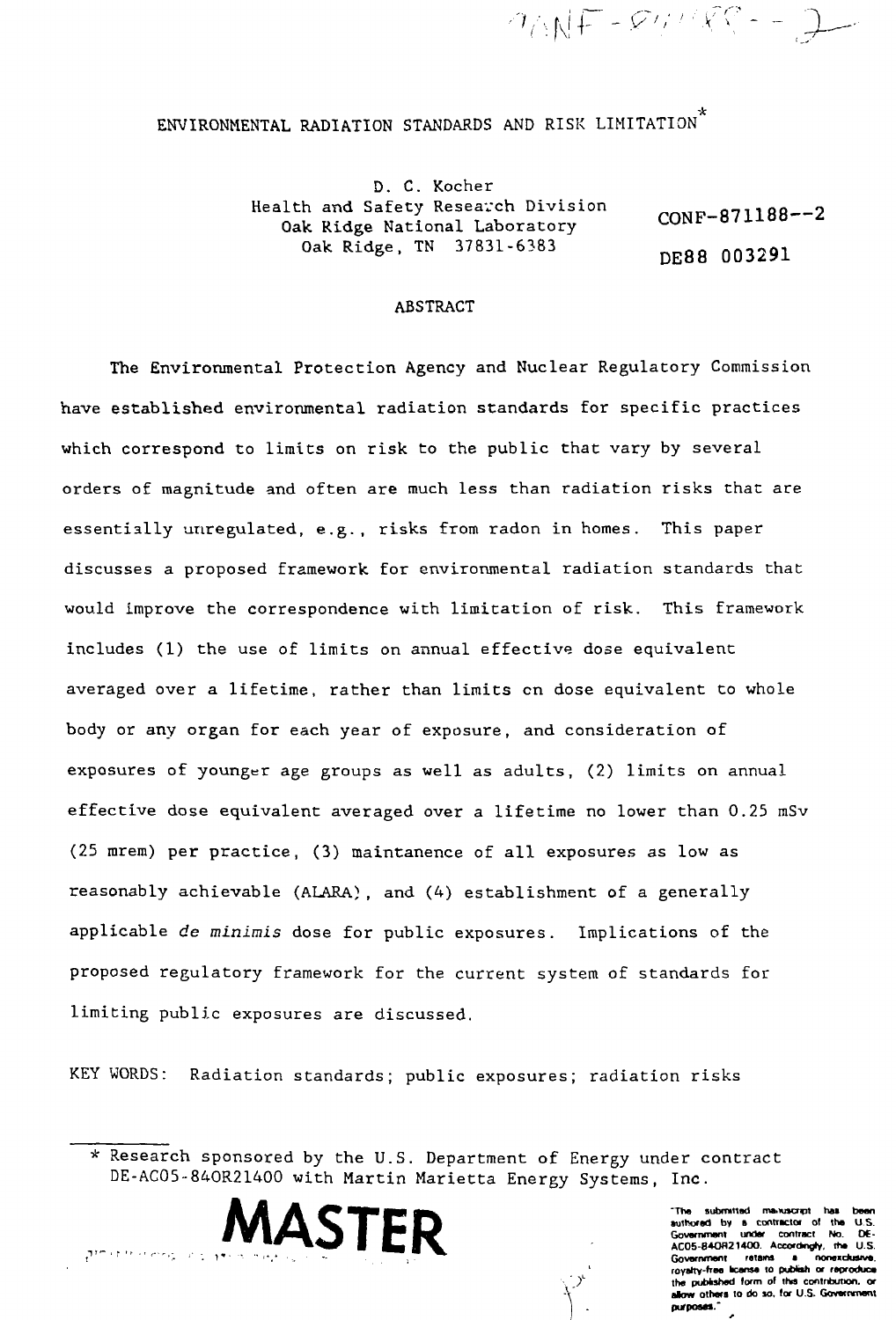ENVIRONMENTAL RADIATION STANDARDS AND RISK LIMITATION

D. C. Kocher Health and Safety Research Division Oak Ridge National Laboratory Oak Ridge, TN 37831-6383

CONF-871188—2 DE88 003291

 $90NF - 991/RT - 2$ 

## ABSTRACT

The Environmental Protection Agency and Nuclear Regulatory Commission have established environmental radiation standards for specific practices which correspond to limits on risk to the public that vary by several orders of magnitude and often are much less than radiation risks that are essentially unregulated, e.g., risks from radon in homes. This paper discusses a proposed framework for environmental radiation standards that would improve the correspondence with limitation of risk. This framework includes (1) the use of limits on annual effective dose equivalent averaged over a lifetime, rather than limits en dose equivalent to whole body or any organ for each year of exposure, and consideration of exposures of younger age groups as well as adults, (2) limits on annual effective dose equivalent averaged over a lifetime no lower than 0.25 mSv (25 mrem) per practice, (3) maintanence of all exposures as low as reasonably achievable (ALARA), and (4) establishment of a generally applicable de minimis dose for public exposures. Implications of the proposed regulatory framework for the current system of standards for limiting public exposures are discussed.

KEY WORDS: Radiation standards; public exposures; radiation risks

•..• /



**"Tne aubmvttad ma.Mjtcnpt has boon authored by a contractor of the US.** Government under contract No. **AC05-B4OH21400. Accordingly, the U.S. Government retains a nonexclusive, royalty-free "cense to puMah or reproduce** the published form of this contribution, or **alow others to do so. for U.S. Government** purposes."

<sup>\*</sup> Research sponsored by the U.S. Department of Energy under contract DE-AC05-84OR21400 with Martin Marietta Energy Systems, Inc.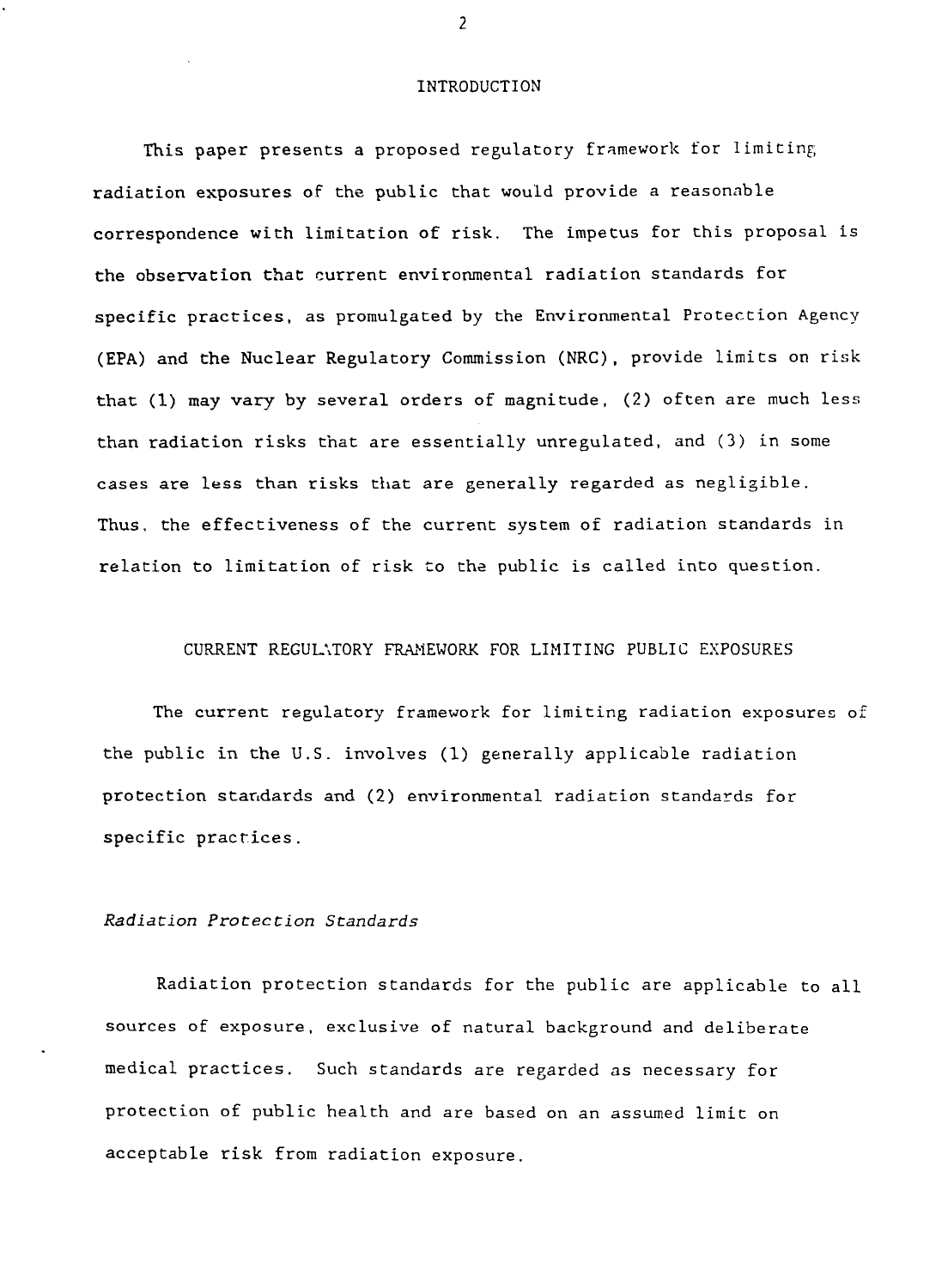#### INTRODUCTION

This paper presents a proposed regulatory framework for limiting radiation exposures of the public that would provide a reasonable correspondence with limitation of risk. The impetus for this proposal is the observation that current environmental radiation standards for specific practices, as promulgated by the Environmental Protection Agency (EPA) and the Nuclear Regulatory Commission (NRC), provide limits on risk that (1) may vary by several orders of magnitude, (2) often are much less than radiation risks that are essentially unregulated, and (3) in some cases are less than risks that are generally regarded as negligible. Thus, the effectiveness of the current system of radiation standards in relation to limitation of risk to the public is called into question.

#### CURRENT REGULATORY FRAMEWORK FOR LIMITING PUBLIC EXPOSURES

The current regulatory framework for limiting radiation exposures of the public in the U.S. involves (1) generally applicable radiation protection standards and (2) environmental radiation standards for specific practices.

#### Radiation Protection Standards

Radiation protection standards for the public are applicable to all sources of exposure, exclusive of natural background and deliberate medical practices. Such standards are regarded as necessary for protection of public health and are based on an assumed limit on acceptable risk from radiation exposure.

 $\overline{2}$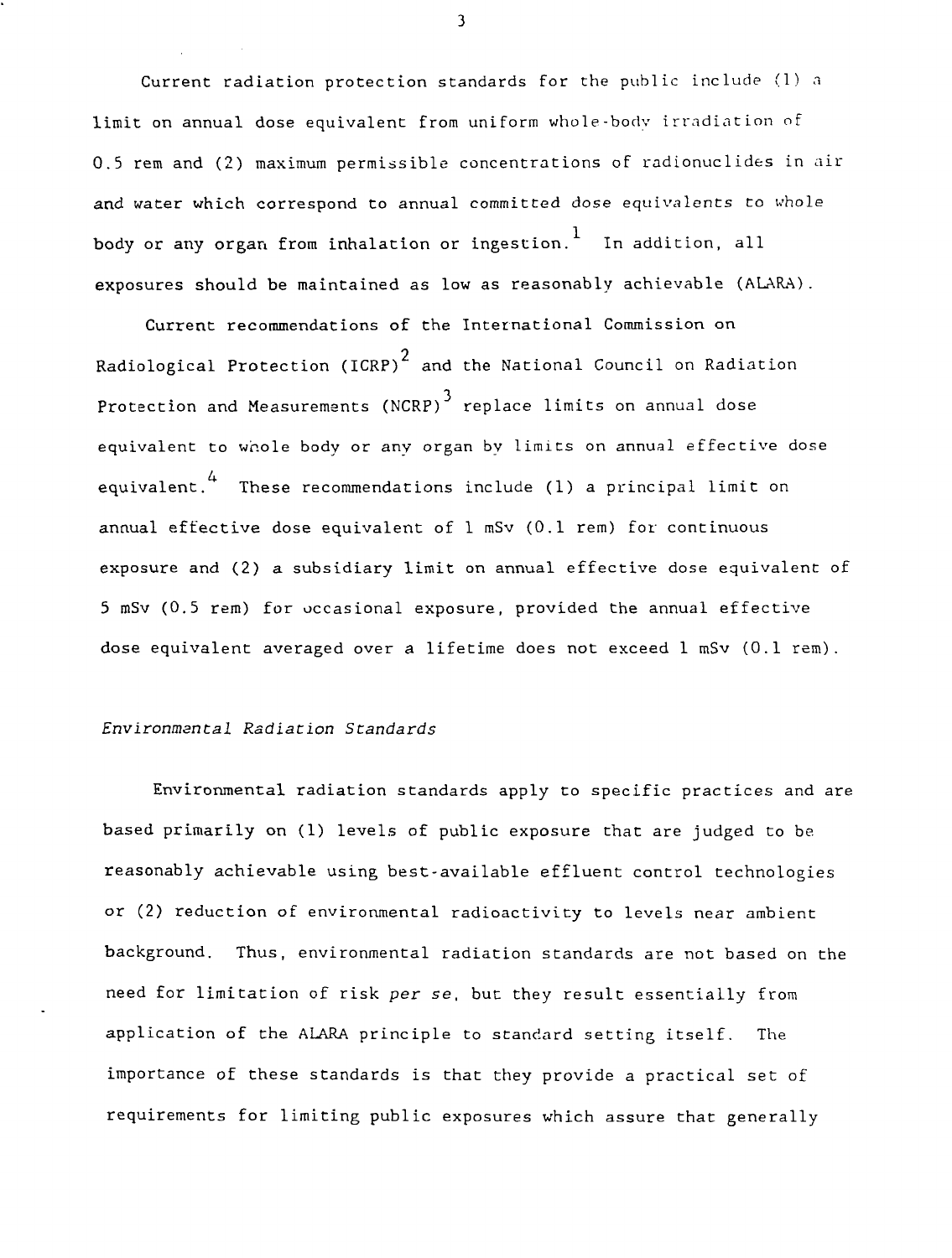Current radiation protection standards for the public include (1) a limit on annual dose equivalent from uniform whole-bodv irradiation of 0.5 rem and (2) maximum permissible concentrations of radionuclides in air and water which correspond to annual committed dose equivalents to whole body or any organ from inhalation or ingestion.  $\frac{1}{1}$  In addition, all exposures should be maintained as low as reasonably achievable (ALARA).

Current recommendations of the International Commission on Radiological Protection (ICRP) $^{\mathrm{2}}$  and the National Council on Radiation Protection and Measurements (NCRP)<sup>3</sup> replace limits on annual dose equivalent to whole body or any organ by limits on annual effective dose 4 equivalent. These recommendations include (1) a principal limit on annual effective dose equivalent of 1 mSv (0.1 rem) for continuous exposure and (2) a subsidiary limit on annual effective dose equivalent of 5 mSv (0.5 rem) for occasional exposure, provided the annual effective dose equivalent averaged over a lifetime does not exceed 1 mSv (0.1 rem).

## Environmental Radiation Standards

Environmental radiation standards apply to specific practices and are based primarily on (1) levels of public exposure that are judged to be reasonably achievable using best-available effluent control technologies or (2) reduction of environmental radioactivity to levels near ambient background. Thus, environmental radiation standards are not based on the need for limitation of risk per se, but they result essentially from application of the ALARA principle to standard setting itself. The importance of these standards is that they provide a practical set of requirements for limiting public exposures which assure that generally

 $\overline{\mathbf{3}}$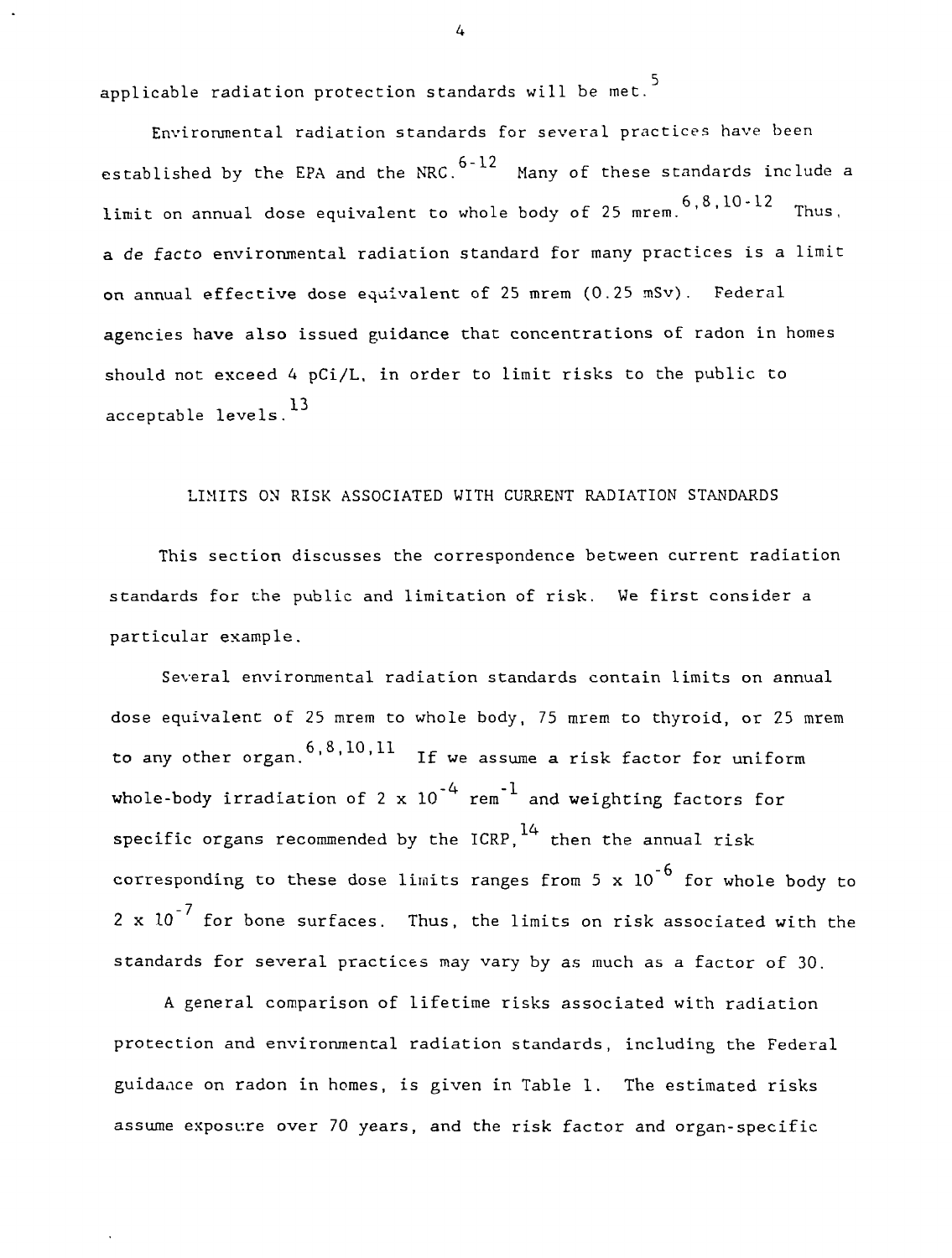applicable radiation protection standards will be met.

Environmental radiation standards for several practices have been established by the EPA and the NRC.  $6-12$  Many of these standards include a limit on annual dose equivalent to whole body of 25 mrem.  $6, 8, 10-12$  Thus, a de facto environmental radiation standard for many practices is a limit on annual effective dose equivalent of 25 mrem (0.25 mSv). Federal agencies have also issued guidance that concentrations of radon in homes should not exceed 4 pCi/L, in order to limit risks to the public to acceptable levels.<sup>13</sup>

## LIMITS ON RISK ASSOCIATED WITH CURRENT RADIATION STANDARDS

This section discusses the correspondence between current radiation standards for the public and limitation of risk. We first consider a particular example.

Several environmental radiation standards contain limits on annual dose equivalent of 25 mrem to whole body, 75 mrem to thyroid, or 25 mrem to any other organ.  $6, 8, 10, 11$  If we assume a risk factor for uniform whole-body irradiation of 2 x  $10^{-4}\,$  rem $^{-1}\,$  and weighting factors for  ${\sf specific}$  organs recommended by the ICRP, $^{14}$  then the annual risk corresponding to these dose limits ranges from 5 x  $10^{-6}$  for whole body to 2 x  $10^{-7}$  for bone surfaces. Thus, the limits on risk associated with the standards for several practices may vary by as much as a factor of 30.

A general comparison of lifetime risks associated with radiation protection and environmental radiation standards, including the Federal guidance on radon in homes, is given in Table 1. The estimated risks assume exposure over 70 years, and the risk factor and organ-specific

 $\overline{4}$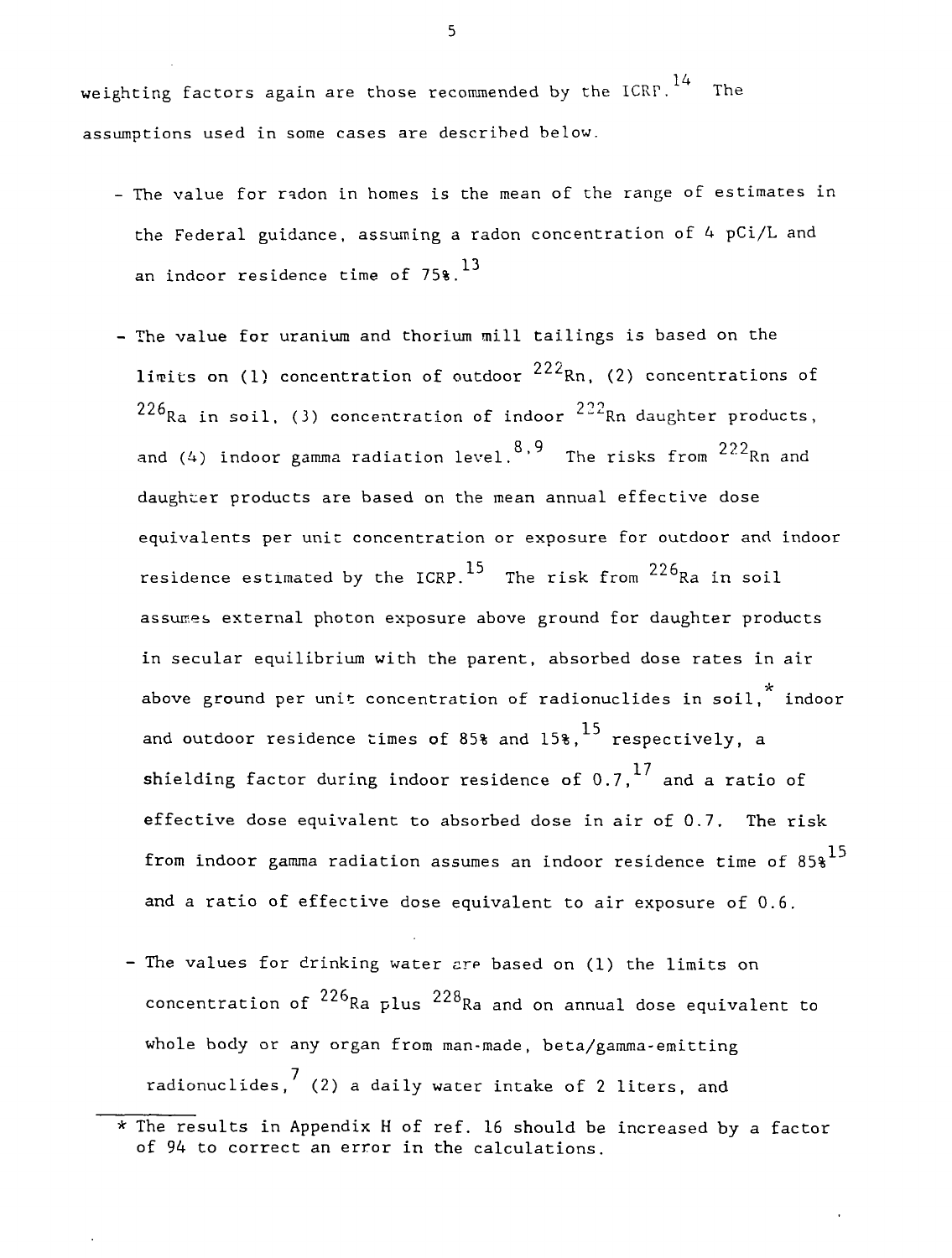weighting factors again are those recommended by the ICRP. $^{14}$  -The assumptions used in some cases are descrihed below.

- The value for radon in homes is the mean of the range of estimates in the Federal guidance, assuming a radon concentration of 4 pCi/L and an indoor residence time of  $75\$ .  $^{13}$
- The value for uranium and thorium mill tailings is based on the 22 limits on (1) concentration of outdoor Rn, (2) concentrations of **o o fi 2 ° ^** Ra in soil, (3) concentration of fhood! We daughter products, and (4) indoor gamma radiation level.<sup>8,9</sup> The risks from  $222_{\rm Rn}$  and daughter products are based on the mean annual effective dose equivalents per unit concentration or exposure for outdoor and indoor  $\mathbf{p}$  and indication or exposure for  $\mathbf{p}$  $\sim$  The risk from  $\sim$  R assumes external photon exposure above ground for daughter products in secular equilibrium with the parent, absorbed dose rates in air above ground per unit concentration of radionuclides in soil,  $*$  indoor and outdoor residence times of 85% and  $15\frac{15}{10}$  respectively, a shielding factor during indoor residence of 0.7,  $^{17}$  and a ratio of effective dose equivalent to absorbed dose in air of  $0.7$ . The risk from indoor gamma radiation assumes an indoor residence time of  $85\frac{15}{10}$ and a ratio of effective dose equivalent to air exposure of  $0.6$ .
- The values for drinking water are based on (1) the limits on concentration of  $^{226}$ Ra plus  $^{228}$ Ra and on annual dose equivalent to whole body or any organ from man-made, beta/gamma-emitting radionuclides,  $\begin{pmatrix} 7 \\ 2 \end{pmatrix}$  a daily water intake of 2 liters, and

and a ratio of effective dose equivalent to air exposure of  $\theta$ 

<sup>\*</sup> The results in Appendix H of ref. 16 should be increased by a factor of 94 to correct an error in the calculations.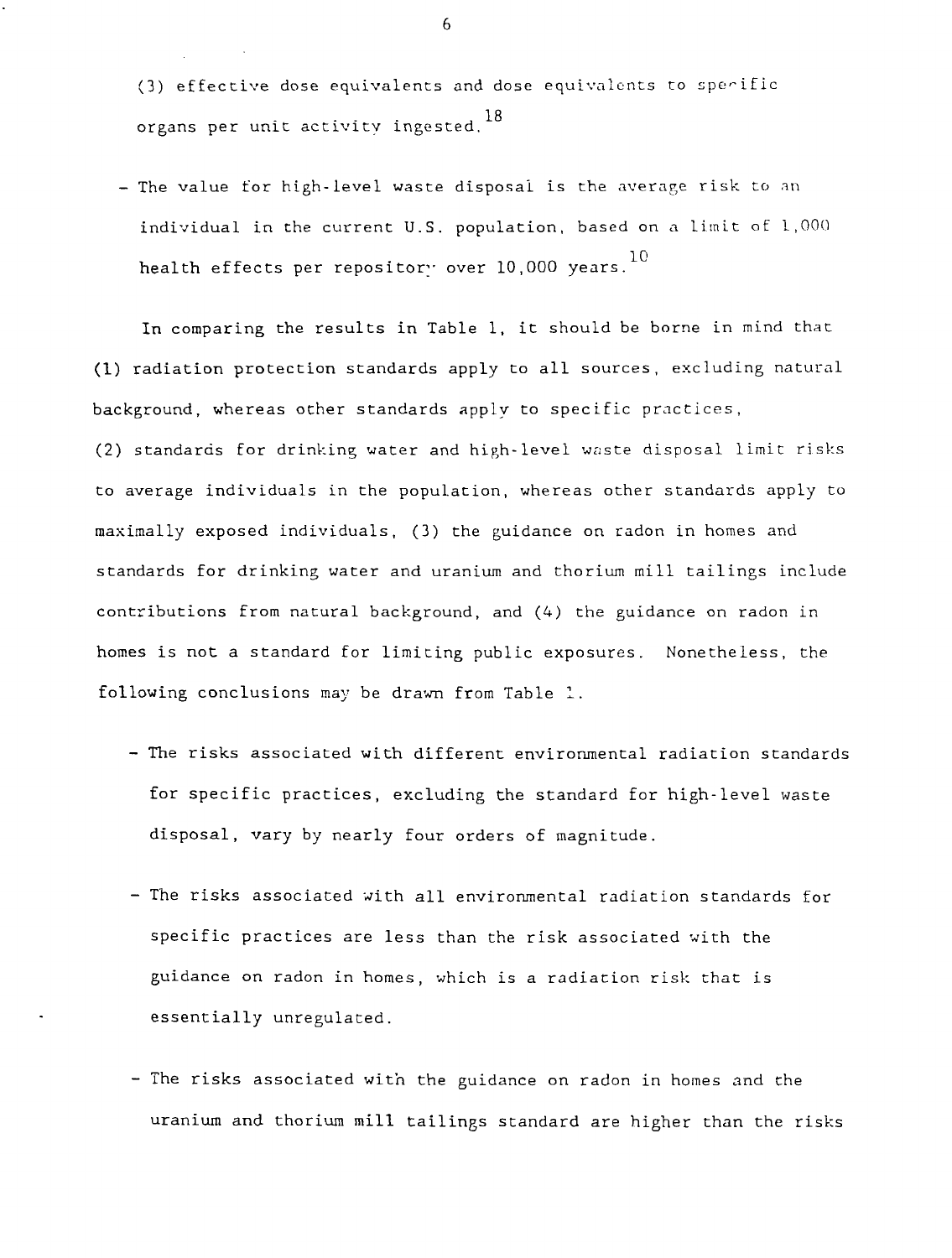- (3) effective dose equivalents and dose equivalents to sperific organs per unit activity ingested. $^{18}$
- The value for high-level waste disposal is the average risk to an individual in the current U.S. population, based on a limit of 1,000 health effects per repository over 10,000 years. $^{10}$

In comparing the results in Table 1, it should be borne in mind that (1) radiation protection standards apply to all sources, excluding natural background, whereas other standards apply to specific practices, (2) standards for drinking water and high-level waste disposal limit risks to average individuals in the population, whereas other standards apply to maximally exposed individuals, (3) the guidance on radon in homes and standards for drinking water and uranium and thorium mill tailings include contributions from natural background, and (4) the guidance on radon in homes is not a standard for limiting public exposures. Nonetheless, the following conclusions may be drawn from Table 1.

- The risks associated with different environmental radiation standards for specific practices, excluding the standard for high-level waste disposal, vary by nearly four orders of magnitude.
- The risks associated with all environmental radiation standards for specific practices are less than the risk associated with the guidance on radon in homes, which is a radiation risk that is essentially unregulated.
- The risks associated with the guidance on radon in homes and the uranium and thorium mill tailings standard are higher than the risks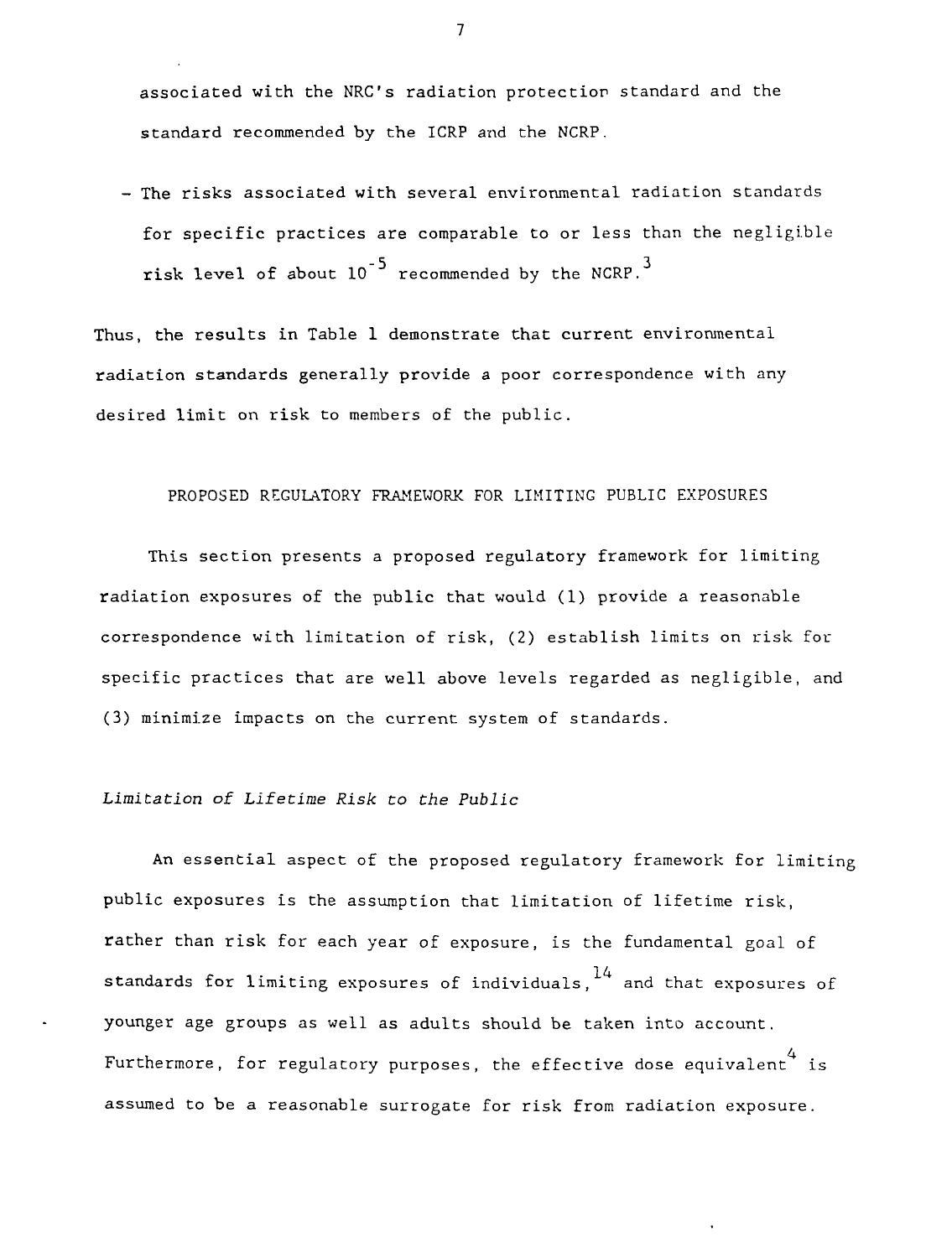associated with the NRC's radiation protection standard and the standard recommended by the ICRP and the NCRP.

- The risks associated with several environmental radiation standards for specific practices are comparable to or less than the negligible risk level of about  $10^{-5}$  recommended by the NCRP.<sup>3</sup>

Thus, the results in Table 1 demonstrate that current environmental radiation standards generally provide a poor correspondence with any desired limit on risk to members of the public.

#### PROPOSED REGULATORY FRAMEWORK FOR LIMITING PUBLIC EXPOSURES

This section presents a proposed regulatory framework for limiting radiation exposures of the public that would (1) provide a reasonable correspondence with limitation of risk, (2) establish limits on risk for specific practices that are well above levels regarded as negligible, and (3) minimize impacts on the current system of standards.

## Limitation of Lifetime Risk to the Public

An essential aspect of the proposed regulatory framework for limiting public exposures is the assumption that limitation of lifetime risk, rather than risk for each year of exposure, is the fundamental goal of standards for limiting exposures of individuals,  $14$  and that exposures of younger age groups as well as adults should be taken into account. Furthermore, for regulatory purposes, the effective dose equivalent is assumed to be a reasonable surrogate for risk from radiation exposure.

 $\overline{7}$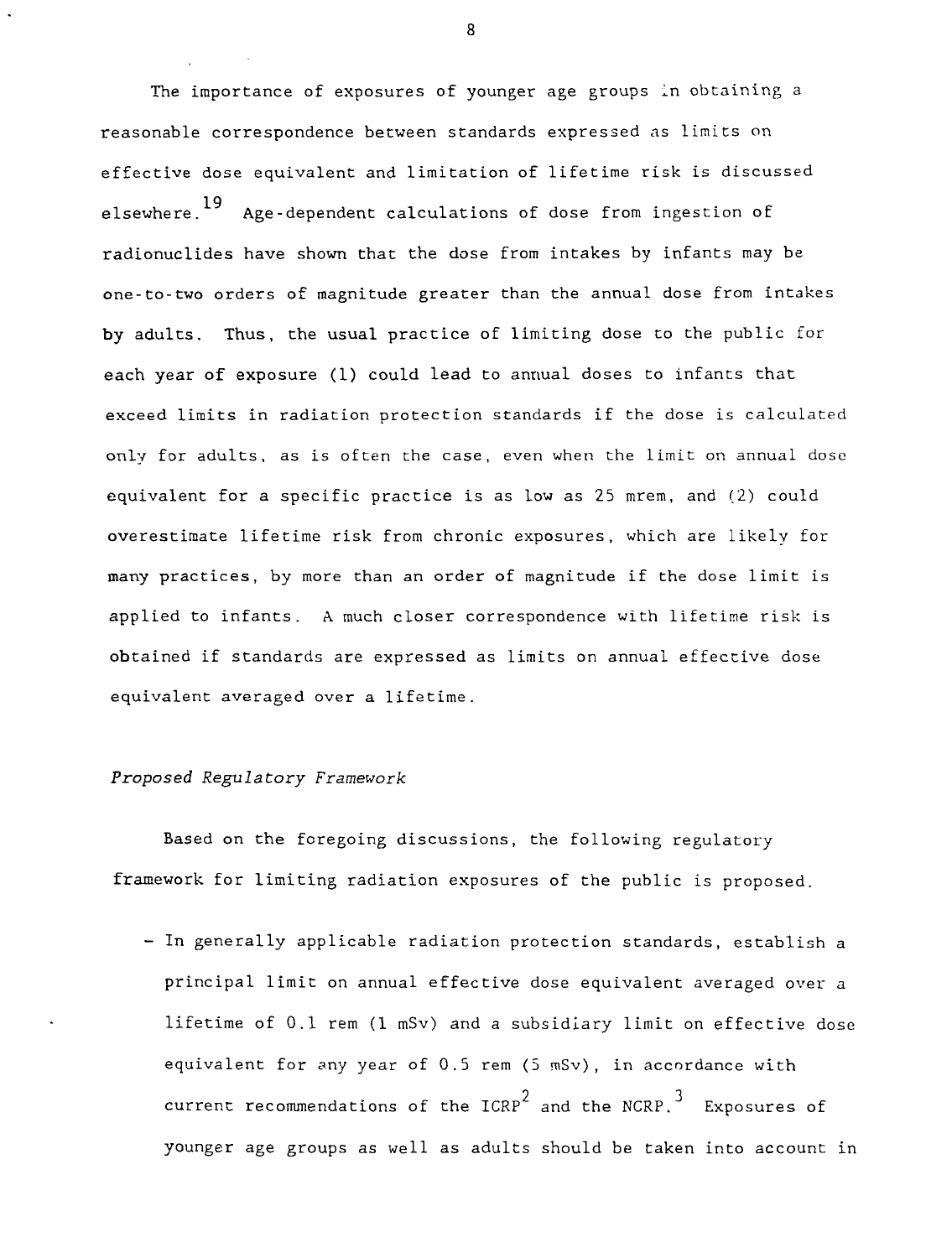The importance of exposures of younger age groups in obtaining a reasonable correspondence between standards expressed as limits on effective dose equivalent and limitation of lifetime risk is discussed 19 elsewhere. Age-dependent calculations of dose from ingestion of radionuclides have shown that the dose from intakes by infants may be one-to-two orders of magnitude greater than the annual dose from intakes by adults. Thus, the usual practice of limiting dose to the public for each year of exposure (1) could lead to annual doses to infants that exceed limits in radiation protection standards if the dose is calculated only for adults, as is often the case, even when the limit on annual dose equivalent for a specific practice is as low as 25 mrem, and (2) could overestimate lifetime risk from chronic exposures, which are likely for many practices, by more than an order of magnitude if the dose limit is applied to infants. A much closer correspondence with lifetime risk is obtained if standards are expressed as limits on annual effective dose equivalent averaged over a lifetime.

## Proposed Regulatory Framework

Based on the foregoing discussions, the following regulatory framework for limiting radiation exposures of the public is proposed.

- In generally applicable radiation protection standards, establish a principal limit on annual effective dose equivalent averaged over a lifetime of 0.1 rem (1 mSv) and a subsidiary limit on effective dose equivalent for any year of  $0.5$  rem  $(5 \text{ mSv})$ , in accordance with  $2$  and the NCDD  $3$ current recommendations of the ICRP and the NCRP. Exposures of younger age groups as well as adults should be taken into account in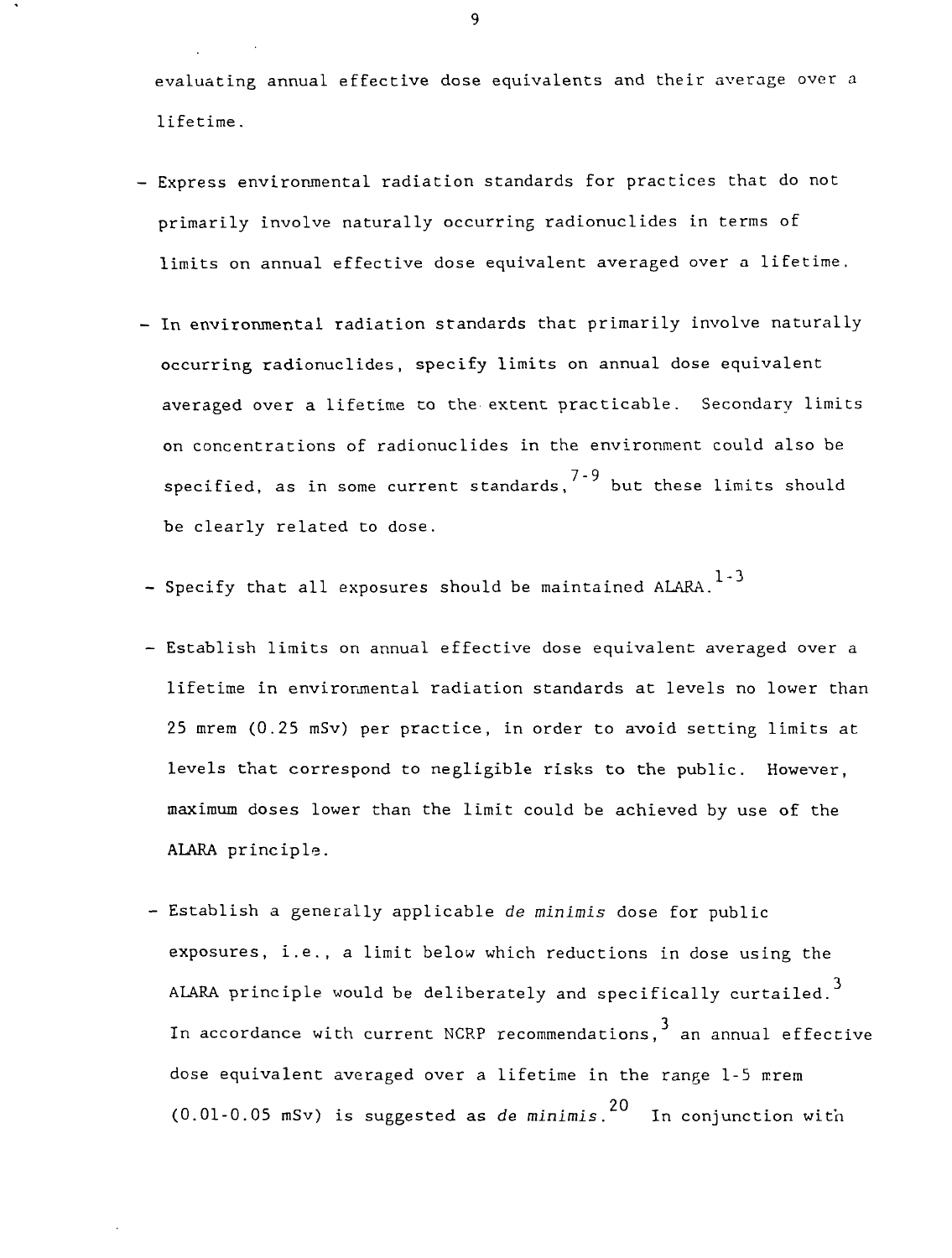evaluating annual effective dose equivalents and their average over a lifetime.

- Express environmental radiation standards for practices that do not primarily involve naturally occurring radionuclides in terms of limits on annual effective dose equivalent averaged over a lifetime.
- In environmental radiation standards that primarily involve naturally occurring radionuclides, specify limits on annual dose equivalent averaged over a lifetime to the extent practicable. Secondary limits on concentrations of radionuclides in the environment could also be specified, as in some current standards, $^{7\text{-}9}$  but these limits should be clearly related to dose.
- 1-3 - Specify that all exposures should be maintained ALARA.
- Establish limits on annual effective dose equivalent averaged over a lifetime in environmental radiation standards at levels no lower than 25 mrem (0.25 mSv) per practice, in order to avoid setting limits at levels that correspond to negligible risks to the public. However, maximum doses lower than the limit could be achieved by use of the ALARA principle.
- Establish a generally applicable de minimis dose for public exposures, i.e., a limit below which reductions in dose using the 3 ALARA principle would be deliberately and specifically curtailed. In accordance with current NCRP recommendations, an annual effective dose equivalent averaged over a lifetime in the range 1-5 mrem (0.01-0.05 mSv) is suggested as *de* minimis. $^{20}$  . In conjunction with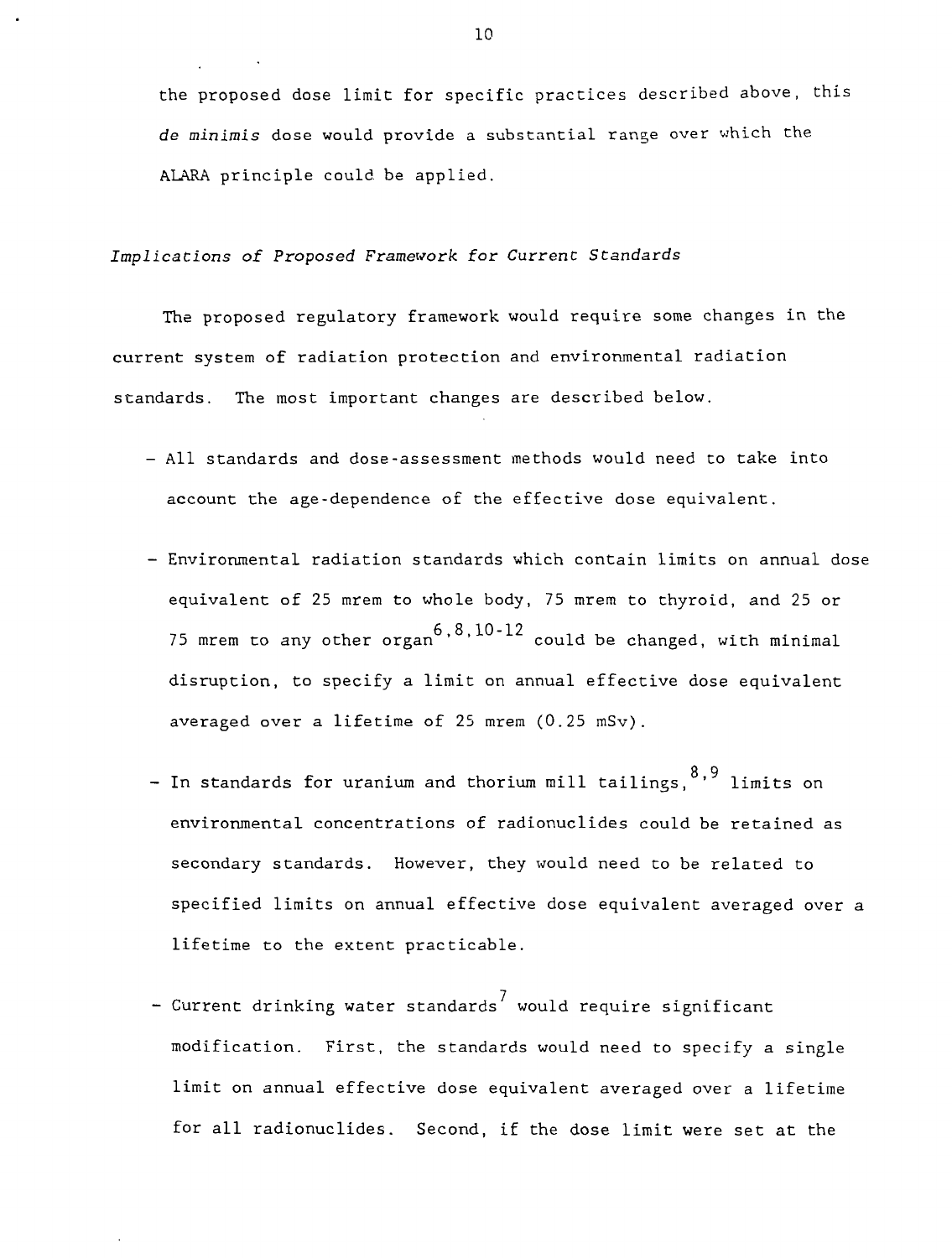the proposed dose limit for specific practices described above, this de minimis dose would provide a substantial range over which the ALARA principle could be applied.

### Implications of Proposed Framework for Current Standards

The proposed regulatory framework would require some changes in the current system of radiation protection and environmental radiation standards. The most important changes are described below.

- All standards and dose-assessment methods would need to take into account the age-dependence of the effective dose equivalent.
- Environmental radiation standards which contain limits on annual dose equivalent of 25 mrem to whole body, 75 mrem to thyroid, and 25 or  $75$  mrem to any other organ  $6,8,10-12$  could be changed, with minimal disruption, to specify a limit on annual effective dose equivalent averaged over a lifetime of 25 mrem  $(0.25 \text{ mSv})$ .
- 8,9 - In standards for uranium and thorium mill tailings, ' limits on environmental concentrations of radionuclides could be retained as secondary standards. However, they would need to be related to specified limits on annual effective dose equivalent averaged over a lifetime to the extent practicable.
- Current drinking water standards<sup>7</sup> would require significant modification. First, the standards would need to specify a single limit on annual effective dose equivalent averaged over a lifetime for all radionuclides. Second, if the dose limit were set at the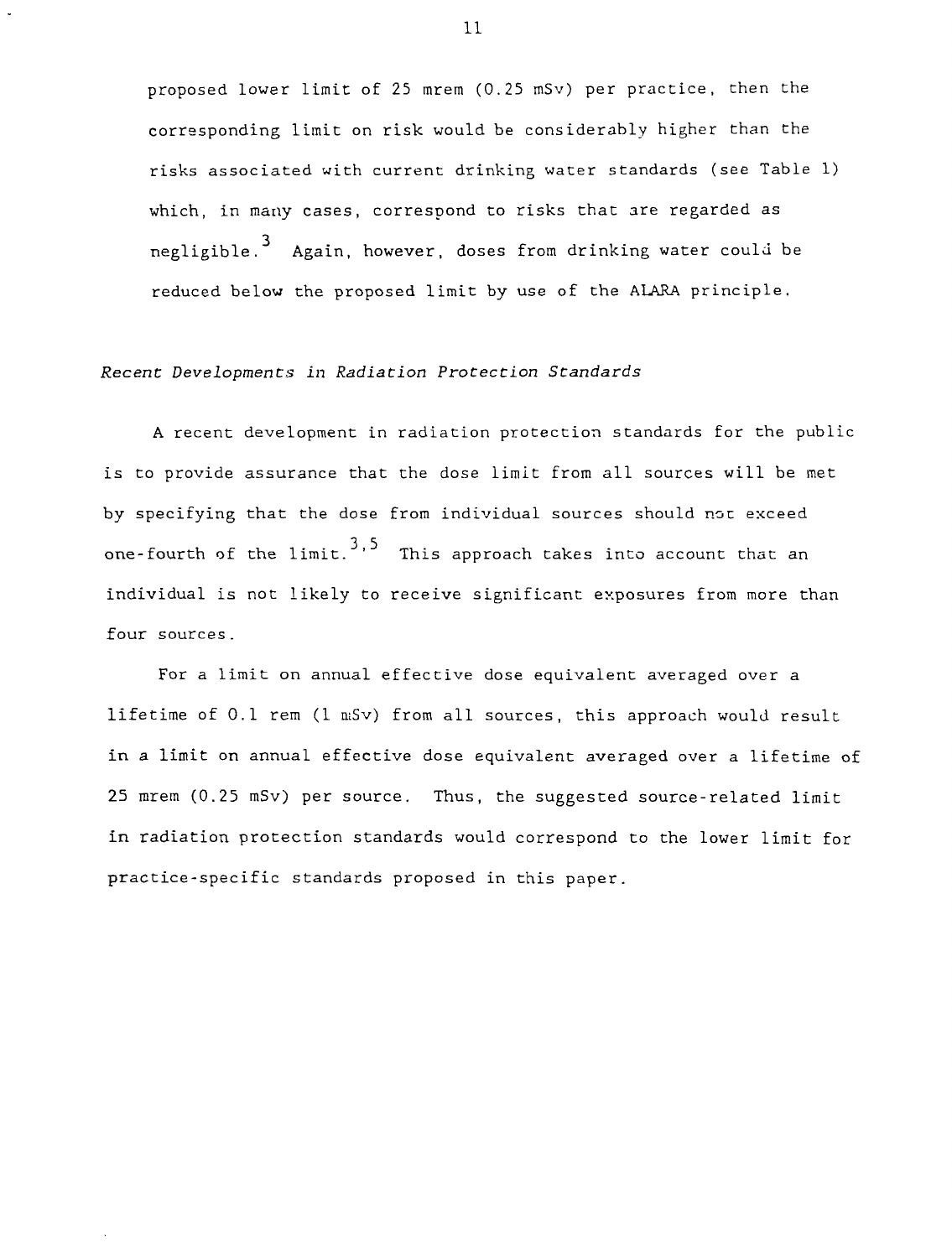proposed lower limit of 25 mrem (0.25 mSv) per practice, then the corresponding limit on risk would be considerably higher than the risks associated with current drinking water standards (see Table 1) which, in many cases, correspond to risks that are regarded as negligible.<sup>3</sup> Again, however, doses from drinking water could be reduced below the proposed limit by use of the ALARA principle.

#### Recent Developmencs in Radiation Protection Standards

A recent development in radiation protection standards for the public is to provide assurance that the dose limit from all sources will be met by specifying that the dose from individual sources should not exceed one-fourth of the  $1$ imit.<sup>3,5</sup> This approach takes into account that an individual is not likely to receive significant exposures from more than four sources.

For a limit on annual effective dose equivalent averaged over a lifetime of 0.1 rem  $(1 \text{ mSv})$  from all sources, this approach would result in a limit on annual effective dose equivalent averaged over a lifetime of 25 mrem (0.25 mSv) per source. Thus, the suggested source-related limit in radiation protection standards would correspond to the lower limit for practice-specific standards proposed in this paper.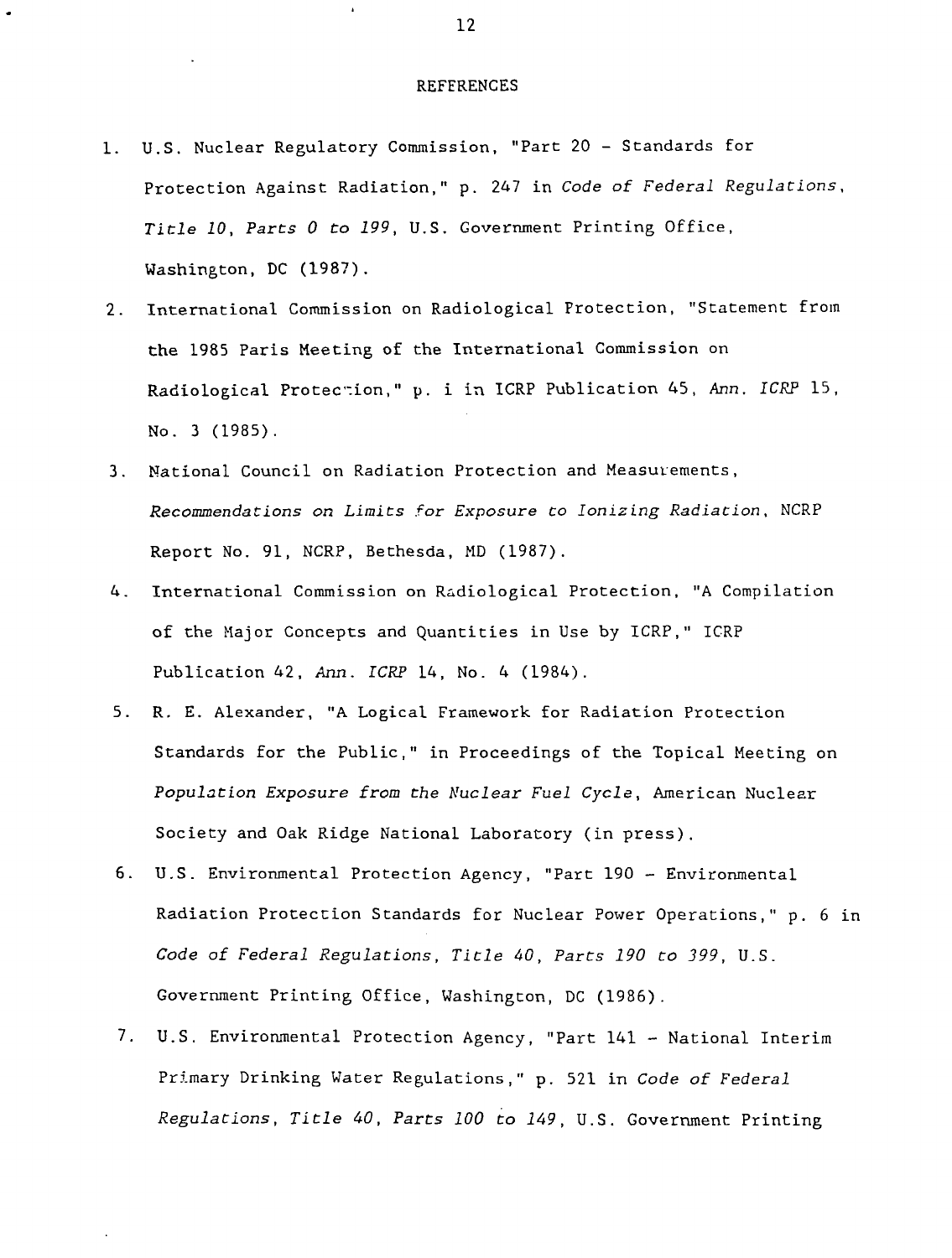#### REFERENCES

- 1. U.S. Nuclear Regulatory Commission, "Part 20 Standards for Protection Against Radiation," p. 247 in Code of Federal Regulations, Title 10, Parts 0 to 199, U.S. Government Printing Office, Washington, DC (1987).
- 2. International Commission on Radiological Protection, "Statement from the 1985 Paris Meeting of the International Commission on Radiological Protection," p. i in ICRP Publication 45, Ann. ICRP 15, No. 3 (1985).
- 3. National Council on Radiation Protection and Measurements, Recommendations on Limits for Exposure Co Ionizing Radiation, NCRP Report No. 91, NCRP, Bethesda, MD (1987).
- 4. International Commission on Radiological Protection, "A Compilation of the Major Concepts and Quantities in Use by ICRP," ICRP Publication 42, Ann. ICRP 14, No. 4 (1984).
- 5. R. E. Alexander, "A Logical Framework for Radiation Protection Standards for the Public," in Proceedings of the Topical Meeting on Population Exposure from the Nuclear Fuel Cycle, American Nuclear Society and Oak Ridge National Laboratory (in press).
- 6. U.S. Environmental Protection Agency, "Part 190 Environmental Radiation Protection Standards for Nuclear Power Operations," p. 6 in Code of Federal Regulations, Title 40, Parts 190 to 399, U.S. Government Printing Office, Washington, DC (1986).
- 7. U.S. Environmental Protection Agency, "Part 141 National Interim Primary Drinking Water Regulations," p. 521 in Code of Federal Regulations, Title 40, Parts 100 to 149, U.S. Government Printing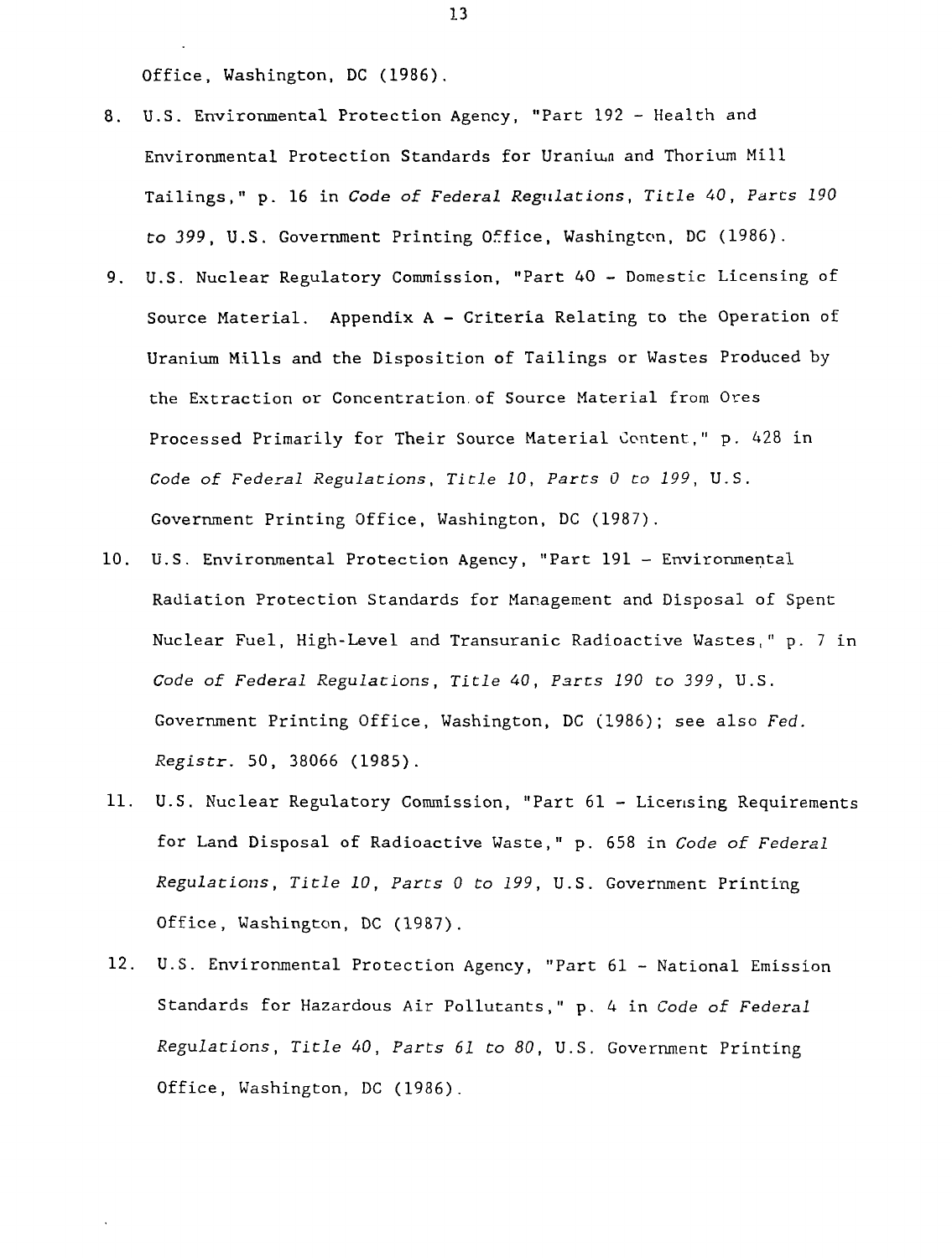Office, Washington, DC (1986).

- 8. U.S. Environmental Protection Agency, "Part 192 Health and Environmental Protection Standards for Uranium and Thorium Mill Tailings," p. 16 in Code of Federal Regulations, Title 40, Pares 190 to 399, U.S. Government Printing Office, Washington, DC (1986).
- 9. U.S. Nuclear Regulatory Commission, "Part 40 Domestic Licensing of Source Material. Appendix A - Criteria Relating to the Operation of Uranium Mills and the Disposition of Tailings or Wastes Produced by the Extraction or Concentration, of Source Material from Ores Processed Primarily for Their Source Material Content," p. 428 in Code of Federal Regulations, Title 10, Parts 0 to 199, U.S. Government Printing Office, Washington, DC (1987).
- 10. U.S. Environmental Protection Agency, "Part 191 Environmental Radiation Protection Standards for Management and Disposal of Spent Nuclear Fuel, High-Level and Transuranic Radioactive Wastes," p. 7 in Code of Federal Regulations, Title 40, Pares 190 to 399, U.S. Government Printing Office, Washington, DC (1986); see also Fed. Registr. 50, 38066 (1985).
- 11. U.S. Nuclear Regulatory Commission, "Part 61 Licensing Requirements for Land Disposal of Radioactive Waste," p. 658 in Code of Federal Regulations, Title 10, Parts 0 to 199, U.S. Government Printing Office, Washington, DC (1987).
- 12. U.S. Environmental Protection Agency, "Part 61 National Emission Standards for Hazardous Air Pollutants," p. 4 in Code of Federal Regulations, Title 40, Parts 61 to 80, U.S. Government Printing Office, Washington, DC (1986).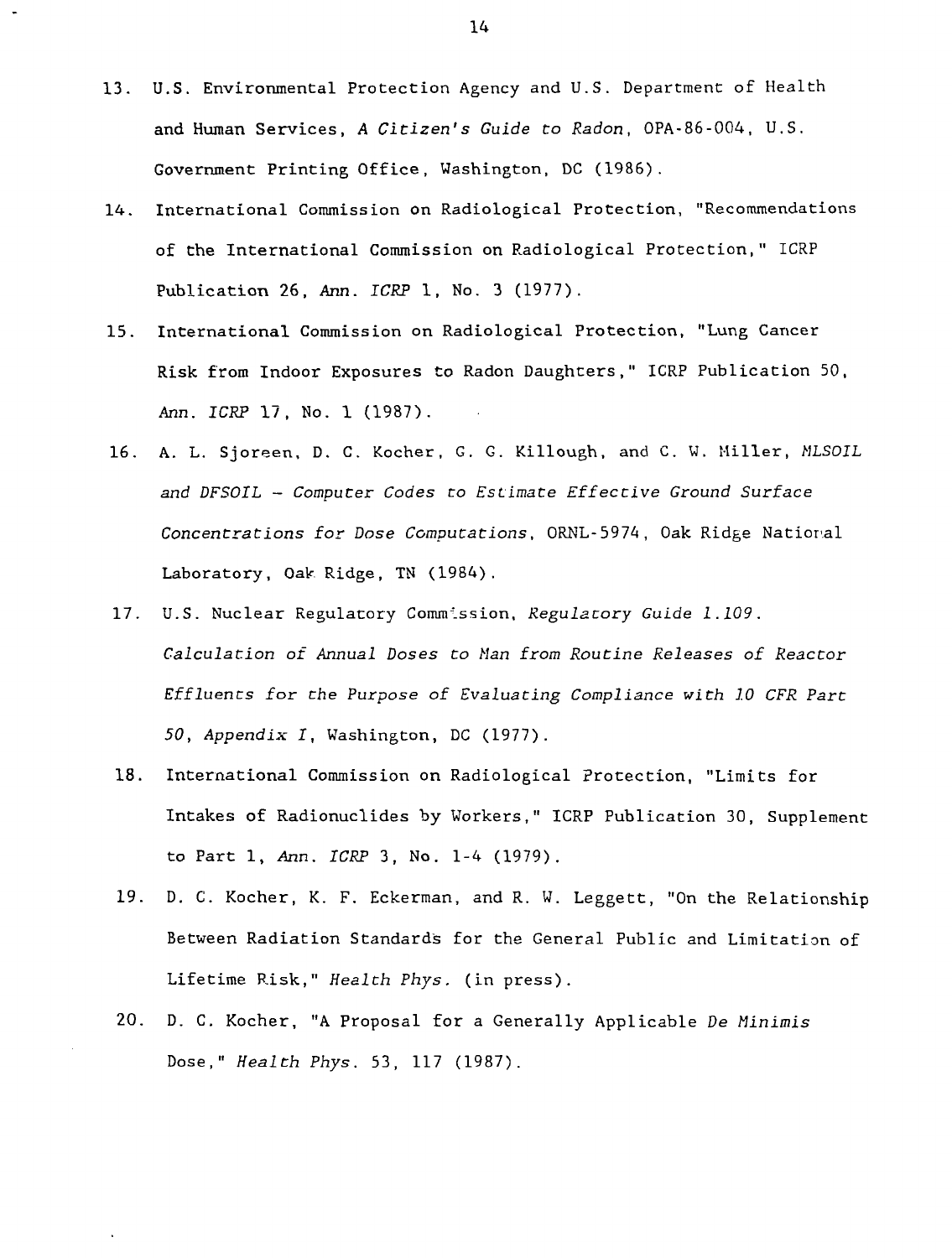- 13. U.S. Environmental Protection Agency and U.S. Department of Health and Human Services, A Citizen's Guide to Radon, OPA-86-004, U.S. Government Printing Office, Washington, DC (1986).
- 14. International Commission on Radiological Protection, "Recommendations of the International Commission on Radiological Protection," ICRP Publication 26, Ann. ICRP 1, No. 3 (1977).
- 15. International Commission on Radiological Protection, "Lung Cancer Risk from Indoor Exposures to Radon Daughters," ICRP Publication 50, Ann. ICRP 17, No. 1 (1987).
- 16. A. L. Sjoreen, D. C. Kocher, G. G. Killough, and C. W. Miller, HLSOIL and DFSOIL — Computer Codes to Estimate Effective Ground Surface Concentrations for Dose Computations, ORNL-5974, Oak Ridge National Laboratory, Oak Ridge, TN (1984).
- 17. U.S. Nuclear Regulatory Commission, Regulatory Guide 1.109. Calculation of Annual Doses to Man from Routine Releases of Reactor Effluents for the Purpose of Evaluating Compliance with 10 CFR Part 50, Appendix I, Washington, DC (1977).
- 18. International Commission on Radiological Protection, "Limits for Intakes of Radionuclides by Workers," ICRP Publication 30, Supplement to Part 1, Ann. ICRP 3, No. 1-4 (1979).
- 19. D. C. Kocher, K. F. Eckerman, and R. W. Leggett, "On the Relationship Between Radiation Standards for the General Public and Limitation of Lifetime Risk," Health Phys. (in press).
- 20. D. C. Kocher, "A Proposal for a Generally Applicable De Minimis Dose," Health Phys. 53, 117 (1987).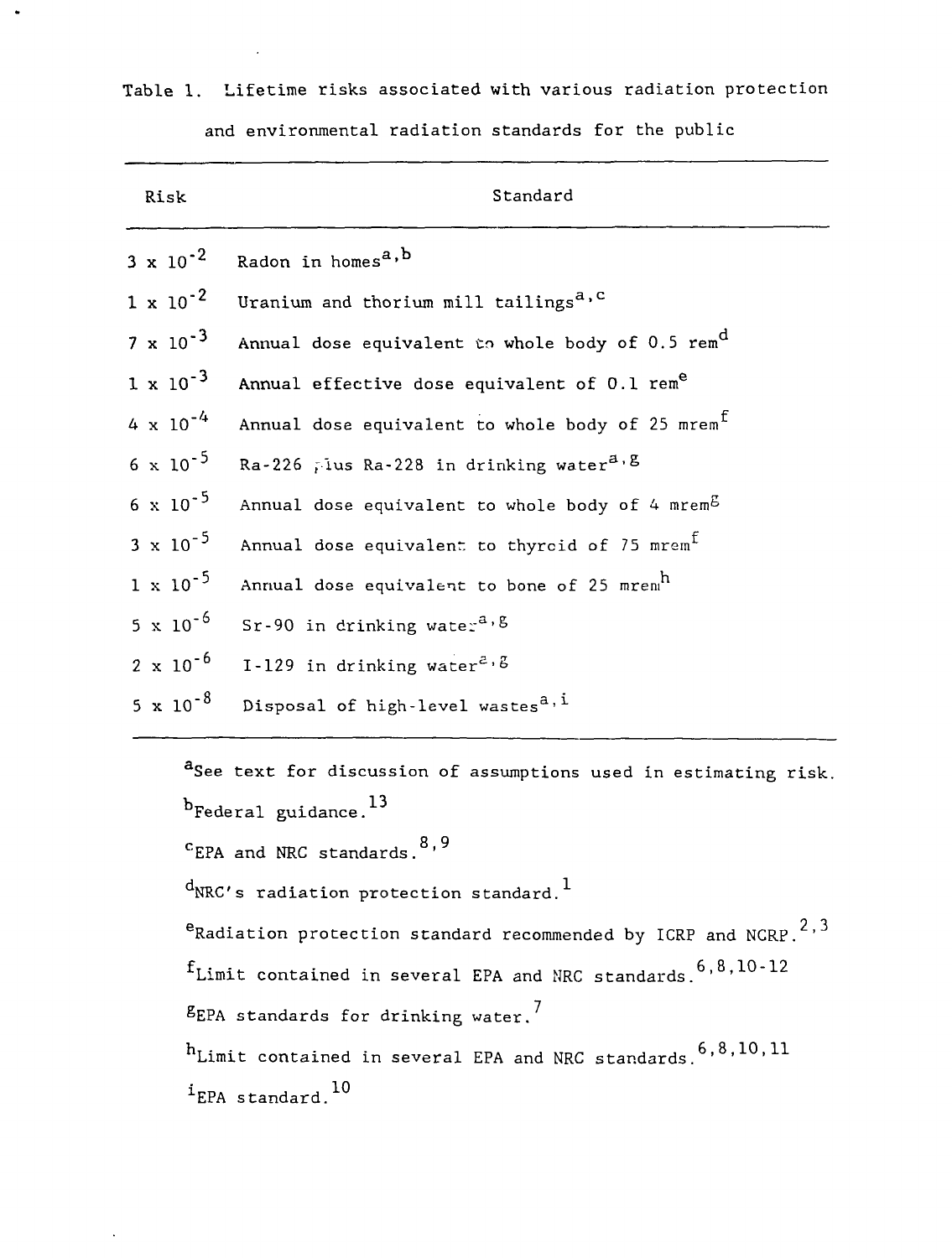| Risk               | Standard                                                     |
|--------------------|--------------------------------------------------------------|
| $3 \times 10^{-2}$ | Radon in homes <sup>a, b</sup>                               |
| $1 \times 10^{-2}$ | Uranium and thorium mill tailings <sup>a, c</sup>            |
| $7 \times 10^{-3}$ | Annual dose equivalent to whole body of 0.5 rem <sup>d</sup> |
| $1 \times 10^{-3}$ | Annual effective dose equivalent of 0.1 rem <sup>e</sup>     |
| $4 \times 10^{-4}$ | Annual dose equivalent to whole body of 25 mrem <sup>f</sup> |
| $6 \times 10^{-5}$ | Ra-226 Tius Ra-228 in drinking water <sup>a, g</sup>         |
| $6 \times 10^{-5}$ | Annual dose equivalent to whole body of 4 mrem $^{5}$        |
| $3 \times 10^{-5}$ | Annual dose equivalent to thyroid of 75 mrem $^{\tt t}$      |
| $1 \times 10^{-5}$ | Annual dose equivalent to bone of 25 mrem <sup>h</sup>       |
| $5 \times 10^{-6}$ | Sr-90 in drinking wate: $a, b$                               |
| $2 \times 10^{-6}$ | I-129 in drinking water <sup>2, <math>\beta</math></sup>     |
| $5 \times 10^{-8}$ | Disposal of high-level wastes <sup>a, i</sup>                |

Table 1. Lifetime risks associated with various radiation protection and environmental radiation standards for the public

 $\bullet$ 

aSee text for discussion of assumptions used in estimating risk.  $b_{\text{Federal}}$  guidance.<sup>13</sup>  $^{\rm c}$ EPA and NRC standards. $^{\rm o, 7}$  $d$ NRC's radiation protection standard.<sup>1</sup>  $e_{\text{Radiation protection standard recommended by ICRP and NCRP.}}$ <sup>2,3</sup>  $f_{\text{Limit contained in several EPA and NRC standards}}$  6,8,10-12

 $E$  EPA standards for drinking water.<sup>7</sup>

 $\mathbf{E}$  $i_{EPA}$  standard.<sup>10</sup>